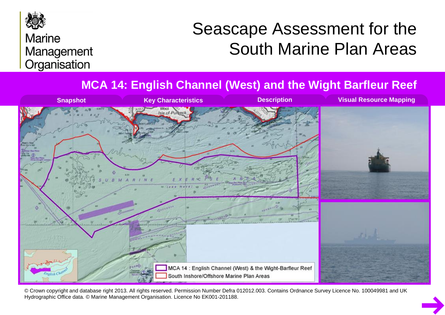

## **Marine** Management Organisation

# Seascape Assessment for the South Marine Plan Areas

#### **MCA 14: English Channel (West) and the Wight Barfleur Reef**



© Crown copyright and database right 2013. All rights reserved. Permission Number Defra 012012.003. Contains Ordnance Survey Licence No. 100049981 and UK Hydrographic Office data. © Marine Management Organisation. Licence No EK001-201188.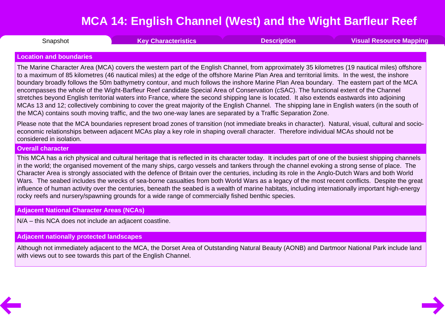<span id="page-1-0"></span>**Snapshot** 

Snapshot **Key [Characteristics](#page-2-0) [Description](#page-3-0) Visual [Resource](#page-6-0) Mapping**

#### **Location and boundaries**

The Marine Character Area (MCA) covers the western part of the English Channel, from approximately 35 kilometres (19 nautical miles) offshore to a maximum of 85 kilometres (46 nautical miles) at the edge of the offshore Marine Plan Area and territorial limits. In the west, the inshore boundary broadly follows the 50m bathymetry contour, and much follows the inshore Marine Plan Area boundary. The eastern part of the MCA encompasses the whole of the Wight-Barfleur Reef candidate Special Area of Conservation (cSAC). The functional extent of the Channel stretches beyond English territorial waters into France, where the second shipping lane is located. It also extends eastwards into adjoining MCAs 13 and 12; collectively combining to cover the great majority of the English Channel. The shipping lane in English waters (in the south of the MCA) contains south moving traffic, and the two one-way lanes are separated by a Traffic Separation Zone.

Please note that the MCA boundaries represent broad zones of transition (not immediate breaks in character). Natural, visual, cultural and socio economic relationships between adjacent MCAs play a key role in shaping overall character. Therefore individual MCAs should not be considered in isolation.

#### **Overall character**

This MCA has a rich physical and cultural heritage that is reflected in its character today. It includes part of one of the busiest shipping channels in the world; the organised movement of the many ships, cargo vessels and tankers through the channel evoking a strong sense of place. The Character Area is strongly associated with the defence of Britain over the centuries, including its role in the Anglo-Dutch Wars and both World Wars*.* The seabed includes the wrecks of sea-borne casualties from both World Wars as a legacy of the most recent conflicts. Despite the great influence of human activity over the centuries, beneath the seabed is a wealth of marine habitats, including internationally important high-energy rocky reefs and nursery/spawning grounds for a wide range of commercially fished benthic species.

#### **Adjacent National Character Areas (NCAs)**

N/A – this NCA does not include an adjacent coastline.

#### **Adjacent nationally protected landscapes**

Although not immediately adjacent to the MCA, the Dorset Area of Outstanding Natural Beauty (AONB) and Dartmoor National Park include land with views out to see towards this part of the English Channel.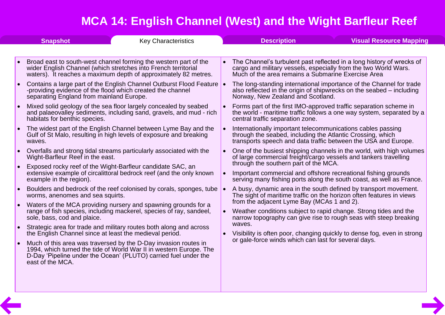<span id="page-2-0"></span>

| <b>Snapshot</b> |                                                                                                        | <b>Key Characteristics</b>                                                                                                                                                                                                                                                         | <b>Description</b>                                                                                                                                                                             | <b>Visual Resource Mapping</b>                                          |
|-----------------|--------------------------------------------------------------------------------------------------------|------------------------------------------------------------------------------------------------------------------------------------------------------------------------------------------------------------------------------------------------------------------------------------|------------------------------------------------------------------------------------------------------------------------------------------------------------------------------------------------|-------------------------------------------------------------------------|
|                 |                                                                                                        |                                                                                                                                                                                                                                                                                    |                                                                                                                                                                                                |                                                                         |
|                 |                                                                                                        | Broad east to south-west channel forming the western part of the<br>wider English Channel (which stretches into French territorial<br>waters). It reaches a maximum depth of approximately 82 metres.                                                                              | The Channel's turbulent past reflected in a long history of wrecks of<br>cargo and military vessels, especially from the two World Wars.<br>Much of the area remains a Submarine Exercise Area |                                                                         |
| $\bullet$       | -providing evidence of the flood which created the channel<br>separating England from mainland Europe. | Contains a large part of the English Channel Outburst Flood Feature .                                                                                                                                                                                                              | The long-standing international importance of the Channel for trade<br>also reflected in the origin of shipwrecks on the seabed – including<br>Norway, New Zealand and Scotland.               |                                                                         |
|                 | habitats for benthic species.                                                                          | Mixed solid geology of the sea floor largely concealed by seabed<br>and palaeovalley sediments, including sand, gravels, and mud - rich                                                                                                                                            | Forms part of the first IMO-approved traffic separation scheme in<br>the world - maritime traffic follows a one way system, separated by a<br>central traffic separation zone.                 |                                                                         |
|                 | waves.                                                                                                 | The widest part of the English Channel between Lyme Bay and the<br>Gulf of St Malo, resulting in high levels of exposure and breaking                                                                                                                                              | Internationally important telecommunications cables passing<br>through the seabed, including the Atlantic Crossing, which<br>transports speech and data traffic between the USA and Europe.    |                                                                         |
| $\bullet$       | Wight-Barfleur Reef in the east.                                                                       | Overfalls and strong tidal streams particularly associated with the                                                                                                                                                                                                                | One of the busiest shipping channels in the world, with high volumes<br>of large commercial freight/cargo vessels and tankers travelling<br>through the southern part of the MCA.              |                                                                         |
|                 | example in the region).                                                                                | Exposed rocky reef of the Wight-Barfleur candidate SAC, an<br>extensive example of circalittoral bedrock reef (and the only known                                                                                                                                                  | Important commercial and offshore recreational fishing grounds<br>serving many fishing ports along the south coast, as well as France.                                                         |                                                                         |
|                 | worms, anenomes and sea squirts.                                                                       | Boulders and bedrock of the reef colonised by corals, sponges, tube<br>Waters of the MCA providing nursery and spawning grounds for a<br>range of fish species, including mackerel, species of ray, sandeel,<br>Strategic area for trade and military routes both along and across | A busy, dynamic area in the south defined by transport movement.<br>The sight of maritime traffic on the horizon often features in views                                                       |                                                                         |
| $\bullet$       | sole, bass, cod and plaice.                                                                            |                                                                                                                                                                                                                                                                                    | from the adjacent Lyme Bay (MCAs 1 and 2).<br>Weather conditions subject to rapid change. Strong tides and the<br>narrow topography can give rise to rough seas with steep breaking            | Visibility is often poor, changing quickly to dense fog, even in strong |
|                 | the English Channel since at least the medieval period.                                                |                                                                                                                                                                                                                                                                                    | waves.                                                                                                                                                                                         |                                                                         |
| $\bullet$       | east of the MCA.                                                                                       | Much of this area was traversed by the D-Day invasion routes in<br>1994, which turned the tide of World War II in western Europe. The<br>D-Day 'Pipeline under the Ocean' (PLUTO) carried fuel under the                                                                           | or gale-force winds which can last for several days.                                                                                                                                           |                                                                         |
|                 |                                                                                                        |                                                                                                                                                                                                                                                                                    |                                                                                                                                                                                                |                                                                         |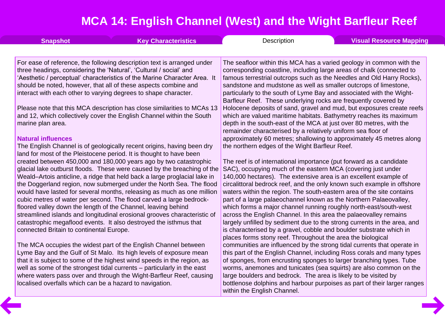<span id="page-3-0"></span>

| <b>Snapshot</b>                                                     | <b>Key Characteristics</b>                                                                                                                    | Description                                                                                                                                      | <b>Visual Resource Mapping</b> |
|---------------------------------------------------------------------|-----------------------------------------------------------------------------------------------------------------------------------------------|--------------------------------------------------------------------------------------------------------------------------------------------------|--------------------------------|
|                                                                     | For ease of reference, the following description text is arranged under                                                                       | The seafloor within this MCA has a varied geology in common with the                                                                             |                                |
| three headings, considering the 'Natural', 'Cultural / social' and  |                                                                                                                                               | corresponding coastline, including large areas of chalk (connected to                                                                            |                                |
|                                                                     | 'Aesthetic / perceptual' characteristics of the Marine Character Area. It                                                                     | famous terrestrial outcrops such as the Needles and Old Harry Rocks),                                                                            |                                |
| should be noted, however, that all of these aspects combine and     |                                                                                                                                               | sandstone and mudstone as well as smaller outcrops of limestone,                                                                                 |                                |
| interact with each other to varying degrees to shape character.     |                                                                                                                                               | particularly to the south of Lyme Bay and associated with the Wight-                                                                             |                                |
|                                                                     |                                                                                                                                               | Barfleur Reef. These underlying rocks are frequently covered by                                                                                  |                                |
|                                                                     | Please note that this MCA description has close similarities to MCAs 13                                                                       | Holocene deposits of sand, gravel and mud, but exposures create reefs                                                                            |                                |
| marine plan area.                                                   | and 12, which collectively cover the English Channel within the South                                                                         | which are valued maritime habitats. Bathymetry reaches its maximum<br>depth in the south-east of the MCA at just over 80 metres, with the        |                                |
|                                                                     |                                                                                                                                               | remainder characterised by a relatively uniform sea floor of                                                                                     |                                |
| <b>Natural influences</b>                                           |                                                                                                                                               | approximately 60 metres; shallowing to approximately 45 metres along                                                                             |                                |
|                                                                     | The English Channel is of geologically recent origins, having been dry                                                                        | the northern edges of the Wight Barfleur Reef.                                                                                                   |                                |
| land for most of the Pleistocene period. It is thought to have been |                                                                                                                                               |                                                                                                                                                  |                                |
|                                                                     | created between 450,000 and 180,000 years ago by two catastrophic                                                                             | The reef is of international importance (put forward as a candidate                                                                              |                                |
|                                                                     | glacial lake outburst floods. These were caused by the breaching of the                                                                       | SAC), occupying much of the eastern MCA (covering just under                                                                                     |                                |
|                                                                     | Weald-Artois anticline, a ridge that held back a large proglacial lake in                                                                     | 140,000 hectares). The extensive area is an excellent example of                                                                                 |                                |
|                                                                     | the Doggerland region, now submerged under the North Sea. The flood<br>would have lasted for several months, releasing as much as one million | circalittoral bedrock reef, and the only known such example in offshore<br>waters within the region. The south-eastern area of the site contains |                                |
|                                                                     | cubic metres of water per second. The flood carved a large bedrock-                                                                           | part of a large palaeochannel known as the Northern Palaeovalley,                                                                                |                                |
| floored valley down the length of the Channel, leaving behind       |                                                                                                                                               | which forms a major channel running roughly north-east/south-west                                                                                |                                |
|                                                                     | streamlined islands and longitudinal erosional grooves characteristic of                                                                      | across the English Channel. In this area the palaeovalley remains                                                                                |                                |
| catastrophic megaflood events. It also destroyed the isthmus that   |                                                                                                                                               | largely unfilled by sediment due to the strong currents in the area, and                                                                         |                                |
| connected Britain to continental Europe.                            |                                                                                                                                               | is characterised by a gravel, cobble and boulder substrate which in                                                                              |                                |
|                                                                     |                                                                                                                                               | places forms stony reef. Throughout the area the biological                                                                                      |                                |
|                                                                     | The MCA occupies the widest part of the English Channel between                                                                               | communities are influenced by the strong tidal currents that operate in                                                                          |                                |
|                                                                     | Lyme Bay and the Gulf of St Malo. Its high levels of exposure mean<br>that it is subject to some of the highest wind speeds in the region, as | this part of the English Channel, including Ross corals and many types<br>of sponges, from encrusting sponges to larger branching types. Tube    |                                |
|                                                                     | well as some of the strongest tidal currents – particularly in the east                                                                       | worms, anemones and tunicates (sea squirts) are also common on the                                                                               |                                |
|                                                                     | where waters pass over and through the Wight-Barfleur Reef, causing                                                                           | large boulders and bedrock. The area is likely to be visited by                                                                                  |                                |
| localised overfalls which can be a hazard to navigation.            |                                                                                                                                               | bottlenose dolphins and harbour purpoises as part of their larger ranges                                                                         |                                |
|                                                                     |                                                                                                                                               | within the English Channel.                                                                                                                      |                                |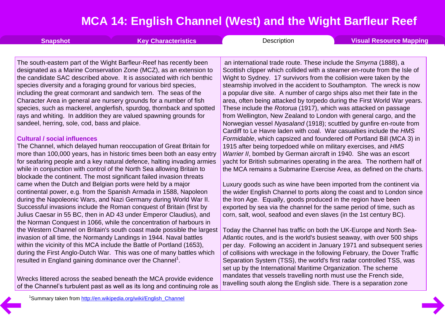|  | Snapshot | <b>Key Characteristics</b> | Description | Visual Resource Mapping |
|--|----------|----------------------------|-------------|-------------------------|
|--|----------|----------------------------|-------------|-------------------------|

The south-eastern part of the Wight Barfleur-Reef has recently been designated as a Marine Conservation Zone (MCZ), as an extension to the candidate SAC described above. It is associated with rich benthic species diversity and a foraging ground for various bird species, including the great cormorant and sandwich tern. The seas of the Character Area in general are nursery grounds for a number of fish species, such as mackerel, anglerfish, spurdog, thornback and spotted rays and whiting. In addition they are valued spawning grounds for sandeel, herring, sole, cod, bass and plaice.

#### **Cultural / social influences**

The Channel, which delayed human reoccupation of Great Britain for more than 100,000 years, has in historic times been both an easy entry for seafaring people and a key natural defence, halting invading armies while in conjunction with control of the North Sea allowing Britain to blockade the continent. The most significant failed invasion threats came when the Dutch and Belgian ports were held by a major continental power, e.g. from the Spanish Armada in 1588, Napoleon during the Napoleonic Wars, and Nazi Germany during World War II. Successful invasions include the Roman conquest of Britain (first by Julius Caesar in 55 BC, then in AD 43 under Emperor Claudius), and the Norman Conquest in 1066, while the concentration of harbours in the Western Channel on Britain's south coast made possible the largest invasion of all time, the Normandy Landings in 1944. Naval battles within the vicinity of this MCA include the Battle of Portland (1653), during the First Anglo-Dutch War. This was one of many battles which resulted in England gaining dominance over the Channel<sup>1</sup>.

Wrecks littered across the seabed beneath the MCA provide evidence of the Channel's turbulent past as well as its long and continuing role as

an international trade route. These include the *Smyrna* (1888), a Scottish clipper which collided with a steamer en-route from the Isle of Wight to Sydney. 17 survivors from the collision were taken by the steamship involved in the accident to Southampton. The wreck is now a popular dive site. A number of cargo ships also met their fate in the area, often being attacked by torpedo during the First World War years. These include the *Rotorua* (1917), which was attacked on passage from Wellington, New Zealand to London with general cargo, and the Norwegian vessel *Nyasaland* (1918); scuttled by gunfire en-route from Cardiff to Le Havre laden with coal. War casualties include the *HMS Formidable*, which capsized and foundered off Portland Bill (MCA 3) in 1915 after being torpedoed while on military exercises, and *HMS Warrier II*, bombed by German aircraft in 1940. She was an escort yacht for British submarines operating in the area. The northern half of the MCA remains a Submarine Exercise Area, as defined on the charts.

Luxury goods such as wine have been imported from the continent via the wider English Channel to ports along the coast and to London since the Iron Age. Equally, goods produced in the region have been exported by sea via the channel for the same period of time, such as corn, salt, wool, seafood and even slaves (in the 1st century BC).

Today the Channel has traffic on both the UK-Europe and North Sea- Atlantic routes, and is the world's busiest seaway, with over 500 ships per day. Following an accident in January 1971 and subsequent series of collisions with wreckage in the following February, the Dover Traffic Separation System (TSS), the world's first radar controlled TSS, was set up by the International Maritime Organization. The scheme mandates that vessels travelling north must use the French side, travelling south along the English side. There is a separation zone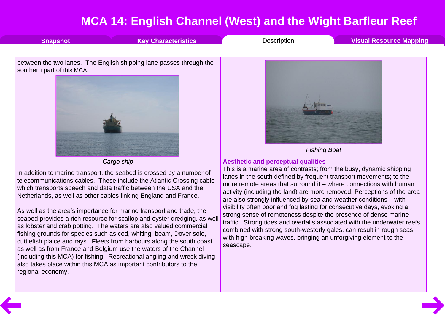<span id="page-5-0"></span>

telecommunications cables. These include the Atlantic Crossing cable which transports speech and data traffic between the USA and the Netherlands, as well as other cables linking England and France.

As well as the area's importance for marine transport and trade, the seabed provides a rich resource for scallop and oyster dredging, as well as lobster and crab potting. The waters are also valued commercial fishing grounds for species such as cod, whiting, beam, Dover sole, cuttlefish plaice and rays. Fleets from harbours along the south coast as well as from France and Belgium use the waters of the Channel (including this MCA) for fishing. Recreational angling and wreck diving also takes place within this MCA as important contributors to the regional economy.

lanes in the south defined by frequent transport movements; to the more remote areas that surround it – where connections with human activity (including the land) are more removed. Perceptions of the area are also strongly influenced by sea and weather conditions – with visibility often poor and fog lasting for consecutive days, evoking a strong sense of remoteness despite the presence of dense marine traffic. Strong tides and overfalls associated with the underwater reefs, combined with strong south-westerly gales, can result in rough seas with high breaking waves, bringing an unforgiving element to the seascape.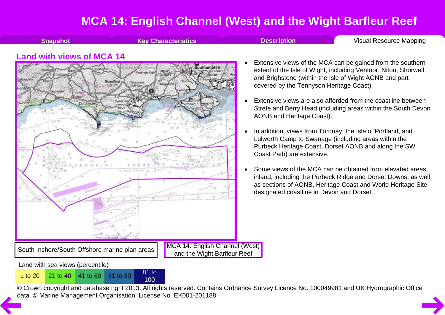**[Snapshot](#page-1-0) Key [Characteristics](#page-2-0) [Description](#page-3-0) Visual Resource Mapping** 

#### <span id="page-6-0"></span>**Land with views of MCA 14**



- Extensive views of the MCA can be gained from the southern extent of the Isle of Wight, including Ventnor, Niton, Shorwell and Brighstone (within the Isle of Wight AONB and part covered by the Tennyson Heritage Coast).
- Extensive views are also afforded from the coastline between Strete and Berry Head (including areas within the South Devon AONB and Heritage Coast).
- In addition, views from Torquay, the Isle of Portland, and Lulworth Camp to Swanage (including areas within the Purbeck Heritage Coast, Dorset AONB and along the SW Coast Path) are extensive.
- · Some views of the MCA can be obtained from elevated areas inland, including the Purbeck Ridge and Dorset Downs, as well as sections of AONB, Heritage Coast and World Heritage Site designated coastline in Devon and Dorset.

Land with sea views (percentile)

<sup>1</sup> to <sup>20</sup> <sup>21</sup> to <sup>40</sup> <sup>41</sup> to <sup>60</sup> <sup>61</sup> to <sup>80</sup> <sup>81</sup> to

100

© Crown copyright and database right 2013. All rights reserved. Contains Ordnance Survey Licence No. 100049981 and UK Hydrographic Office [da](#page-5-0)ta. © Marine Management Organisation. License No. EK001-201188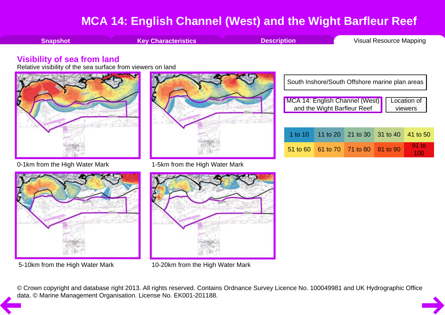<span id="page-7-0"></span>

**[Snapshot](#page-1-0) Key [Characteristics](#page-2-0) [Description](#page-3-0) Visual [Resource](#page-6-0) Mapping** 

#### **Visibility of sea from land**

Relative visibility of the sea surface from viewers on land







0-1km from the High Water Mark 1-5km from the High Water Mark



5-10km from the High Water Mark 10-20km from the High Water Mark

|                                                                                           | South Inshore/South Offshore marine plan areas |                                     |                            |  |          |
|-------------------------------------------------------------------------------------------|------------------------------------------------|-------------------------------------|----------------------------|--|----------|
| MCA 14: English Channel (West)<br>  and the Wight Barfleur Reef<br>Location of<br>viewers |                                                |                                     |                            |  |          |
|                                                                                           | 1 to 10 $\parallel$                            |                                     | 11 to 20 21 to 30 31 to 40 |  | 41 to 50 |
|                                                                                           |                                                | 51 to 60 61 to 70 71 to 80 81 to 90 |                            |  | 91 to    |

© Crown copyright and database right 2013. All rights reserved. Contains Ordnance Survey Licence No. 100049981 and UK Hydrographic Office [da](#page-6-0)ta. © Marine Management Organisation. License No. EK001-201188.